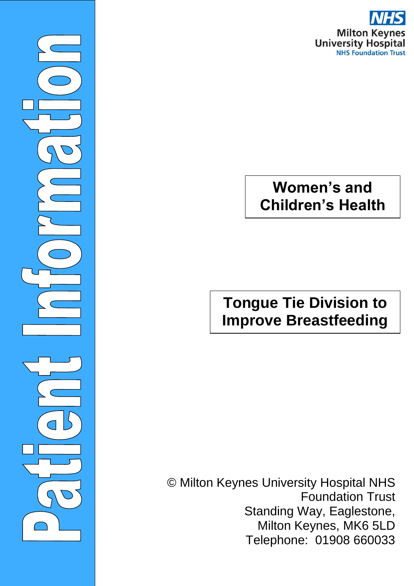

# **Women's and Children's Health**

©Milto

 $\overline{\phantom{0}}$ 

# **Tongue Tie Division to Improve Breastfeeding**

© Milton Keynes University Hospital NHS Foundation Trust Standing Way, Eaglestone, Milton Keynes, MK6 5LD Telephone: 01908 660033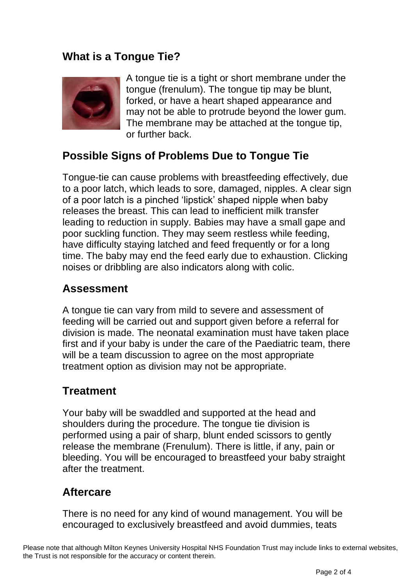## **What is a Tongue Tie?**



A tongue tie is a tight or short membrane under the tongue (frenulum). The tongue tip may be blunt, forked, or have a heart shaped appearance and may not be able to protrude beyond the lower gum. The membrane may be attached at the tongue tip, or further back.

## **Possible Signs of Problems Due to Tongue Tie**

Tongue-tie can cause problems with breastfeeding effectively, due to a poor latch, which leads to sore, damaged, nipples. A clear sign of a poor latch is a pinched 'lipstick' shaped nipple when baby releases the breast. This can lead to inefficient milk transfer leading to reduction in supply. Babies may have a small gape and poor suckling function. They may seem restless while feeding, have difficulty staying latched and feed frequently or for a long time. The baby may end the feed early due to exhaustion. Clicking noises or dribbling are also indicators along with colic.

## **Assessment**

A tongue tie can vary from mild to severe and assessment of feeding will be carried out and support given before a referral for division is made. The neonatal examination must have taken place first and if your baby is under the care of the Paediatric team, there will be a team discussion to agree on the most appropriate treatment option as division may not be appropriate.

## **Treatment**

Your baby will be swaddled and supported at the head and shoulders during the procedure. The tongue tie division is performed using a pair of sharp, blunt ended scissors to gently release the membrane (Frenulum). There is little, if any, pain or bleeding. You will be encouraged to breastfeed your baby straight after the treatment.

### **Aftercare**

There is no need for any kind of wound management. You will be encouraged to exclusively breastfeed and avoid dummies, teats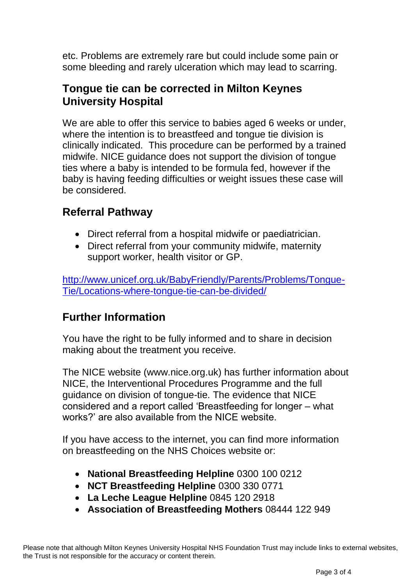etc. Problems are extremely rare but could include some pain or some bleeding and rarely ulceration which may lead to scarring.

## **Tongue tie can be corrected in Milton Keynes University Hospital**

We are able to offer this service to babies aged 6 weeks or under, where the intention is to breastfeed and tongue tie division is clinically indicated. This procedure can be performed by a trained midwife. NICE guidance does not support the division of tongue ties where a baby is intended to be formula fed, however if the baby is having feeding difficulties or weight issues these case will be considered.

## **Referral Pathway**

- Direct referral from a hospital midwife or paediatrician.
- Direct referral from your community midwife, maternity support worker, health visitor or GP.

[http://www.unicef.org.uk/BabyFriendly/Parents/Problems/Tongue-](http://www.unicef.org.uk/BabyFriendly/Parents/Problems/Tongue-Tie/Locations-where-tongue-tie-can-be-divided/)[Tie/Locations-where-tongue-tie-can-be-divided/](http://www.unicef.org.uk/BabyFriendly/Parents/Problems/Tongue-Tie/Locations-where-tongue-tie-can-be-divided/)

## **Further Information**

You have the right to be fully informed and to share in decision making about the treatment you receive.

The NICE website (www.nice.org.uk) has further information about NICE, the Interventional Procedures Programme and the full guidance on division of tongue-tie. The evidence that NICE considered and a report called 'Breastfeeding for longer – what works?' are also available from the NICE website.

If you have access to the internet, you can find more information on breastfeeding on the NHS Choices website or:

- **National Breastfeeding Helpline** 0300 100 0212
- **NCT Breastfeeding Helpline** 0300 330 0771
- **La Leche League Helpline** 0845 120 2918
- **Association of Breastfeeding Mothers** 08444 122 949